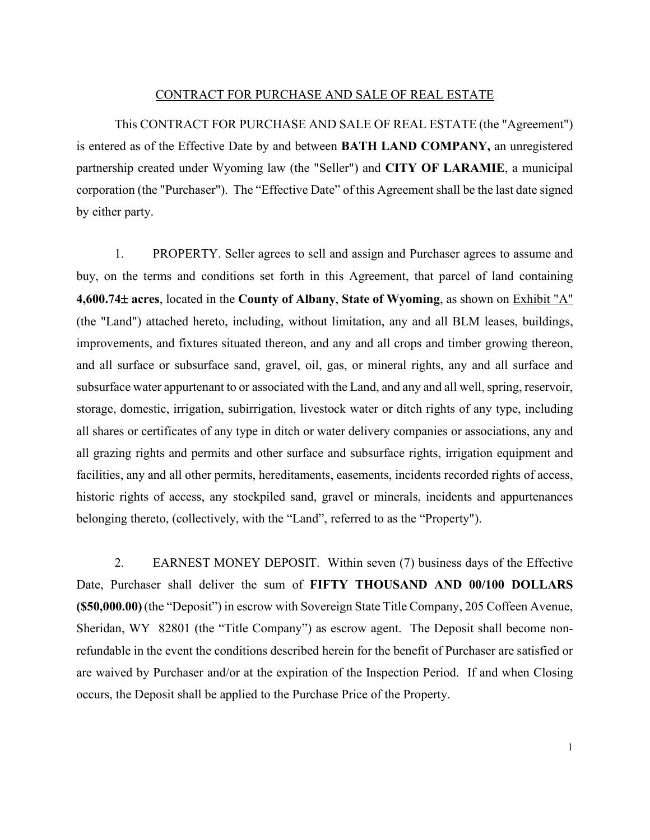### CONTRACT FOR PURCHASE AND SALE OF REAL ESTATE

This CONTRACT FOR PURCHASE AND SALE OF REAL ESTATE (the "Agreement") is entered as of the Effective Date by and between **BATH LAND COMPANY,** an unregistered partnership created under Wyoming law (the "Seller") and **CITY OF LARAMIE**, a municipal corporation (the "Purchaser"). The "Effective Date" of this Agreement shall be the last date signed by either party.

1. PROPERTY. Seller agrees to sell and assign and Purchaser agrees to assume and buy, on the terms and conditions set forth in this Agreement, that parcel of land containing **4,600.74**± **acres**, located in the **County of Albany**, **State of Wyoming**, as shown on Exhibit "A" (the "Land") attached hereto, including, without limitation, any and all BLM leases, buildings, improvements, and fixtures situated thereon, and any and all crops and timber growing thereon, and all surface or subsurface sand, gravel, oil, gas, or mineral rights, any and all surface and subsurface water appurtenant to or associated with the Land, and any and all well, spring, reservoir, storage, domestic, irrigation, subirrigation, livestock water or ditch rights of any type, including all shares or certificates of any type in ditch or water delivery companies or associations, any and all grazing rights and permits and other surface and subsurface rights, irrigation equipment and facilities, any and all other permits, hereditaments, easements, incidents recorded rights of access, historic rights of access, any stockpiled sand, gravel or minerals, incidents and appurtenances belonging thereto, (collectively, with the "Land", referred to as the "Property").

2. EARNEST MONEY DEPOSIT. Within seven (7) business days of the Effective Date, Purchaser shall deliver the sum of **FIFTY THOUSAND AND 00/100 DOLLARS (\$50,000.00)**(the "Deposit") in escrow with Sovereign State Title Company, 205 Coffeen Avenue, Sheridan, WY 82801 (the "Title Company") as escrow agent. The Deposit shall become nonrefundable in the event the conditions described herein for the benefit of Purchaser are satisfied or are waived by Purchaser and/or at the expiration of the Inspection Period. If and when Closing occurs, the Deposit shall be applied to the Purchase Price of the Property.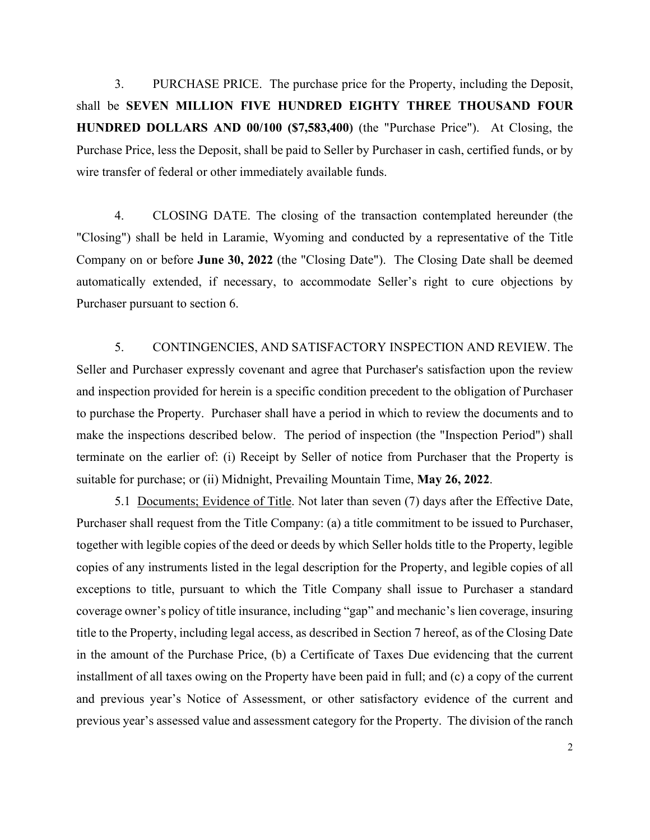3. PURCHASE PRICE. The purchase price for the Property, including the Deposit, shall be **SEVEN MILLION FIVE HUNDRED EIGHTY THREE THOUSAND FOUR HUNDRED DOLLARS AND 00/100 (\$7,583,400)** (the "Purchase Price"). At Closing, the Purchase Price, less the Deposit, shall be paid to Seller by Purchaser in cash, certified funds, or by wire transfer of federal or other immediately available funds.

4. CLOSING DATE. The closing of the transaction contemplated hereunder (the "Closing") shall be held in Laramie, Wyoming and conducted by a representative of the Title Company on or before **June 30, 2022** (the "Closing Date"). The Closing Date shall be deemed automatically extended, if necessary, to accommodate Seller's right to cure objections by Purchaser pursuant to section 6.

5. CONTINGENCIES, AND SATISFACTORY INSPECTION AND REVIEW. The Seller and Purchaser expressly covenant and agree that Purchaser's satisfaction upon the review and inspection provided for herein is a specific condition precedent to the obligation of Purchaser to purchase the Property. Purchaser shall have a period in which to review the documents and to make the inspections described below. The period of inspection (the "Inspection Period") shall terminate on the earlier of: (i) Receipt by Seller of notice from Purchaser that the Property is suitable for purchase; or (ii) Midnight, Prevailing Mountain Time, **May 26, 2022**.

5.1 Documents; Evidence of Title. Not later than seven (7) days after the Effective Date, Purchaser shall request from the Title Company: (a) a title commitment to be issued to Purchaser, together with legible copies of the deed or deeds by which Seller holds title to the Property, legible copies of any instruments listed in the legal description for the Property, and legible copies of all exceptions to title, pursuant to which the Title Company shall issue to Purchaser a standard coverage owner's policy of title insurance, including "gap" and mechanic's lien coverage, insuring title to the Property, including legal access, as described in Section 7 hereof, as of the Closing Date in the amount of the Purchase Price, (b) a Certificate of Taxes Due evidencing that the current installment of all taxes owing on the Property have been paid in full; and (c) a copy of the current and previous year's Notice of Assessment, or other satisfactory evidence of the current and previous year's assessed value and assessment category for the Property. The division of the ranch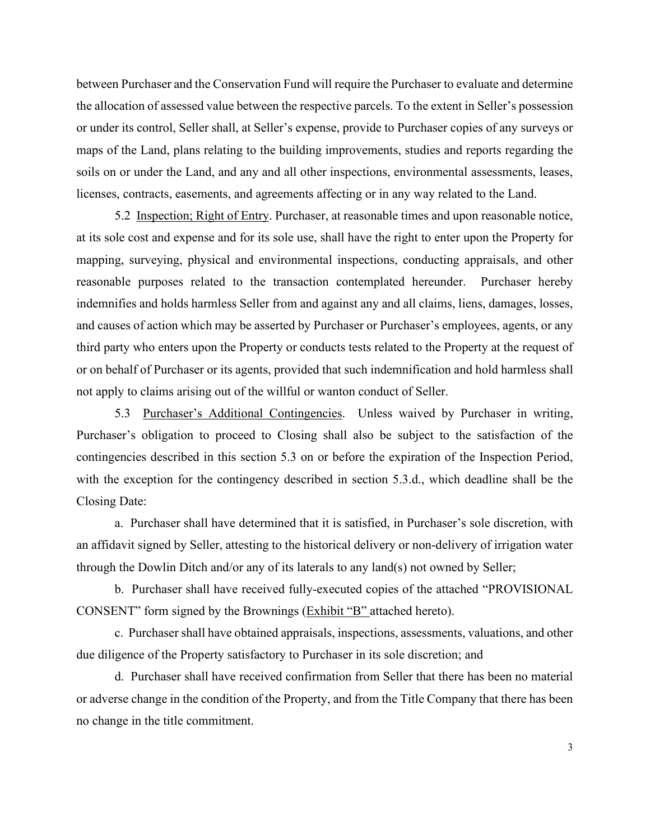between Purchaser and the Conservation Fund will require the Purchaser to evaluate and determine the allocation of assessed value between the respective parcels. To the extent in Seller's possession or under its control, Seller shall, at Seller's expense, provide to Purchaser copies of any surveys or maps of the Land, plans relating to the building improvements, studies and reports regarding the soils on or under the Land, and any and all other inspections, environmental assessments, leases, licenses, contracts, easements, and agreements affecting or in any way related to the Land.

5.2 Inspection; Right of Entry. Purchaser, at reasonable times and upon reasonable notice, at its sole cost and expense and for its sole use, shall have the right to enter upon the Property for mapping, surveying, physical and environmental inspections, conducting appraisals, and other reasonable purposes related to the transaction contemplated hereunder. Purchaser hereby indemnifies and holds harmless Seller from and against any and all claims, liens, damages, losses, and causes of action which may be asserted by Purchaser or Purchaser's employees, agents, or any third party who enters upon the Property or conducts tests related to the Property at the request of or on behalf of Purchaser or its agents, provided that such indemnification and hold harmless shall not apply to claims arising out of the willful or wanton conduct of Seller.

5.3 Purchaser's Additional Contingencies. Unless waived by Purchaser in writing, Purchaser's obligation to proceed to Closing shall also be subject to the satisfaction of the contingencies described in this section 5.3 on or before the expiration of the Inspection Period, with the exception for the contingency described in section 5.3.d., which deadline shall be the Closing Date:

a. Purchaser shall have determined that it is satisfied, in Purchaser's sole discretion, with an affidavit signed by Seller, attesting to the historical delivery or non-delivery of irrigation water through the Dowlin Ditch and/or any of its laterals to any land(s) not owned by Seller;

b. Purchaser shall have received fully-executed copies of the attached "PROVISIONAL CONSENT" form signed by the Brownings (Exhibit "B" attached hereto).

c. Purchaser shall have obtained appraisals, inspections, assessments, valuations, and other due diligence of the Property satisfactory to Purchaser in its sole discretion; and

d. Purchaser shall have received confirmation from Seller that there has been no material or adverse change in the condition of the Property, and from the Title Company that there has been no change in the title commitment.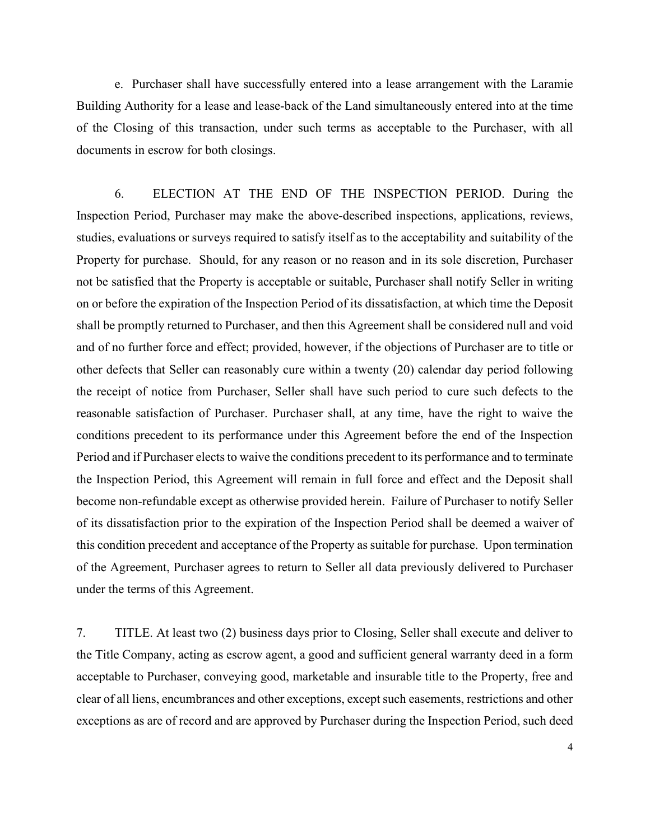e. Purchaser shall have successfully entered into a lease arrangement with the Laramie Building Authority for a lease and lease-back of the Land simultaneously entered into at the time of the Closing of this transaction, under such terms as acceptable to the Purchaser, with all documents in escrow for both closings.

6. ELECTION AT THE END OF THE INSPECTION PERIOD. During the Inspection Period, Purchaser may make the above-described inspections, applications, reviews, studies, evaluations or surveys required to satisfy itself as to the acceptability and suitability of the Property for purchase. Should, for any reason or no reason and in its sole discretion, Purchaser not be satisfied that the Property is acceptable or suitable, Purchaser shall notify Seller in writing on or before the expiration of the Inspection Period of its dissatisfaction, at which time the Deposit shall be promptly returned to Purchaser, and then this Agreement shall be considered null and void and of no further force and effect; provided, however, if the objections of Purchaser are to title or other defects that Seller can reasonably cure within a twenty (20) calendar day period following the receipt of notice from Purchaser, Seller shall have such period to cure such defects to the reasonable satisfaction of Purchaser. Purchaser shall, at any time, have the right to waive the conditions precedent to its performance under this Agreement before the end of the Inspection Period and if Purchaser elects to waive the conditions precedent to its performance and to terminate the Inspection Period, this Agreement will remain in full force and effect and the Deposit shall become non-refundable except as otherwise provided herein. Failure of Purchaser to notify Seller of its dissatisfaction prior to the expiration of the Inspection Period shall be deemed a waiver of this condition precedent and acceptance of the Property as suitable for purchase. Upon termination of the Agreement, Purchaser agrees to return to Seller all data previously delivered to Purchaser under the terms of this Agreement.

7. TITLE. At least two (2) business days prior to Closing, Seller shall execute and deliver to the Title Company, acting as escrow agent, a good and sufficient general warranty deed in a form acceptable to Purchaser, conveying good, marketable and insurable title to the Property, free and clear of all liens, encumbrances and other exceptions, except such easements, restrictions and other exceptions as are of record and are approved by Purchaser during the Inspection Period, such deed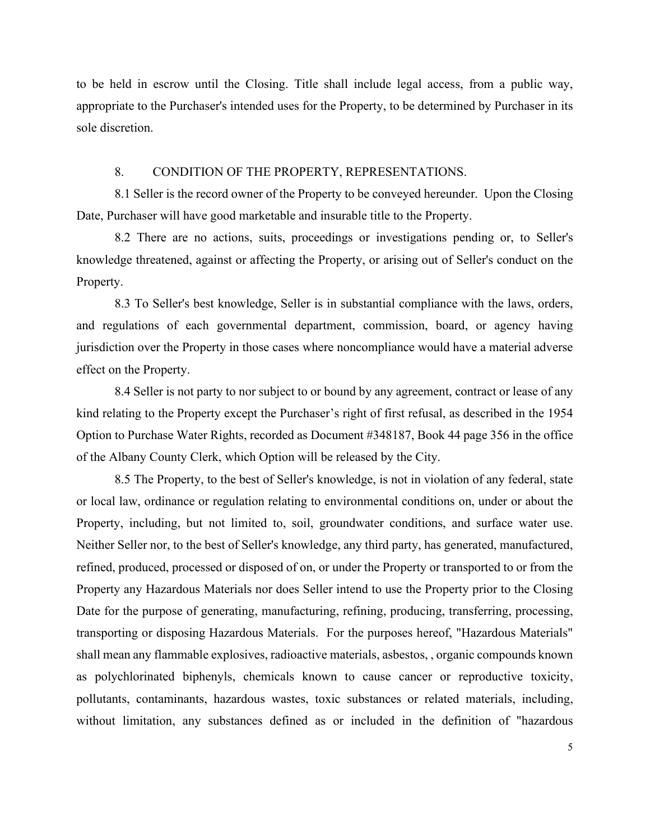to be held in escrow until the Closing. Title shall include legal access, from a public way, appropriate to the Purchaser's intended uses for the Property, to be determined by Purchaser in its sole discretion.

#### 8. CONDITION OF THE PROPERTY, REPRESENTATIONS.

8.1 Seller is the record owner of the Property to be conveyed hereunder. Upon the Closing Date, Purchaser will have good marketable and insurable title to the Property.

8.2 There are no actions, suits, proceedings or investigations pending or, to Seller's knowledge threatened, against or affecting the Property, or arising out of Seller's conduct on the Property.

8.3 To Seller's best knowledge, Seller is in substantial compliance with the laws, orders, and regulations of each governmental department, commission, board, or agency having jurisdiction over the Property in those cases where noncompliance would have a material adverse effect on the Property.

8.4 Seller is not party to nor subject to or bound by any agreement, contract or lease of any kind relating to the Property except the Purchaser's right of first refusal, as described in the 1954 Option to Purchase Water Rights, recorded as Document #348187, Book 44 page 356 in the office of the Albany County Clerk, which Option will be released by the City.

8.5 The Property, to the best of Seller's knowledge, is not in violation of any federal, state or local law, ordinance or regulation relating to environmental conditions on, under or about the Property, including, but not limited to, soil, groundwater conditions, and surface water use. Neither Seller nor, to the best of Seller's knowledge, any third party, has generated, manufactured, refined, produced, processed or disposed of on, or under the Property or transported to or from the Property any Hazardous Materials nor does Seller intend to use the Property prior to the Closing Date for the purpose of generating, manufacturing, refining, producing, transferring, processing, transporting or disposing Hazardous Materials. For the purposes hereof, "Hazardous Materials" shall mean any flammable explosives, radioactive materials, asbestos, , organic compounds known as polychlorinated biphenyls, chemicals known to cause cancer or reproductive toxicity, pollutants, contaminants, hazardous wastes, toxic substances or related materials, including, without limitation, any substances defined as or included in the definition of "hazardous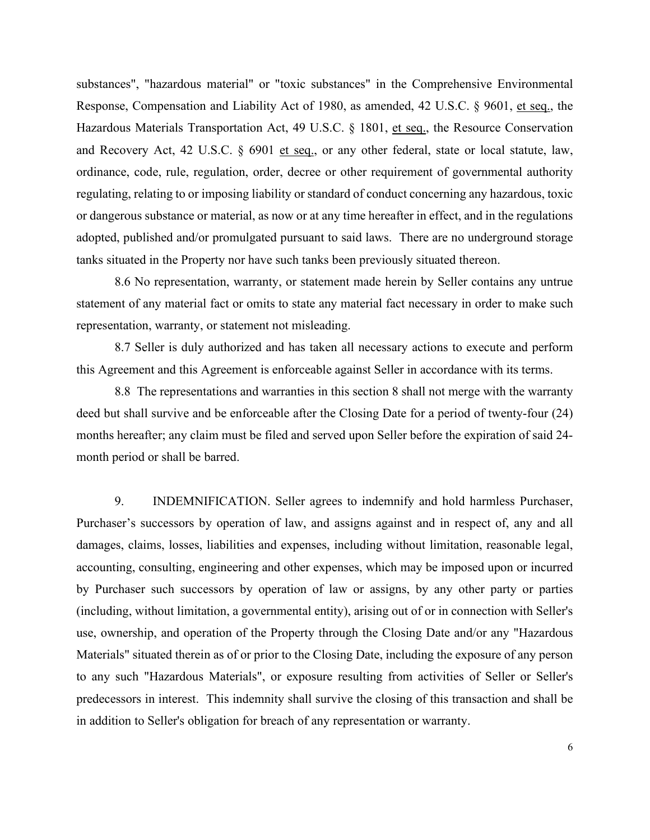substances", "hazardous material" or "toxic substances" in the Comprehensive Environmental Response, Compensation and Liability Act of 1980, as amended, 42 U.S.C. § 9601, et seq., the Hazardous Materials Transportation Act, 49 U.S.C. § 1801, et seq., the Resource Conservation and Recovery Act, 42 U.S.C. § 6901 et seq., or any other federal, state or local statute, law, ordinance, code, rule, regulation, order, decree or other requirement of governmental authority regulating, relating to or imposing liability or standard of conduct concerning any hazardous, toxic or dangerous substance or material, as now or at any time hereafter in effect, and in the regulations adopted, published and/or promulgated pursuant to said laws. There are no underground storage tanks situated in the Property nor have such tanks been previously situated thereon.

8.6 No representation, warranty, or statement made herein by Seller contains any untrue statement of any material fact or omits to state any material fact necessary in order to make such representation, warranty, or statement not misleading.

8.7 Seller is duly authorized and has taken all necessary actions to execute and perform this Agreement and this Agreement is enforceable against Seller in accordance with its terms.

8.8 The representations and warranties in this section 8 shall not merge with the warranty deed but shall survive and be enforceable after the Closing Date for a period of twenty-four (24) months hereafter; any claim must be filed and served upon Seller before the expiration of said 24 month period or shall be barred.

9. INDEMNIFICATION. Seller agrees to indemnify and hold harmless Purchaser, Purchaser's successors by operation of law, and assigns against and in respect of, any and all damages, claims, losses, liabilities and expenses, including without limitation, reasonable legal, accounting, consulting, engineering and other expenses, which may be imposed upon or incurred by Purchaser such successors by operation of law or assigns, by any other party or parties (including, without limitation, a governmental entity), arising out of or in connection with Seller's use, ownership, and operation of the Property through the Closing Date and/or any "Hazardous Materials" situated therein as of or prior to the Closing Date, including the exposure of any person to any such "Hazardous Materials", or exposure resulting from activities of Seller or Seller's predecessors in interest. This indemnity shall survive the closing of this transaction and shall be in addition to Seller's obligation for breach of any representation or warranty.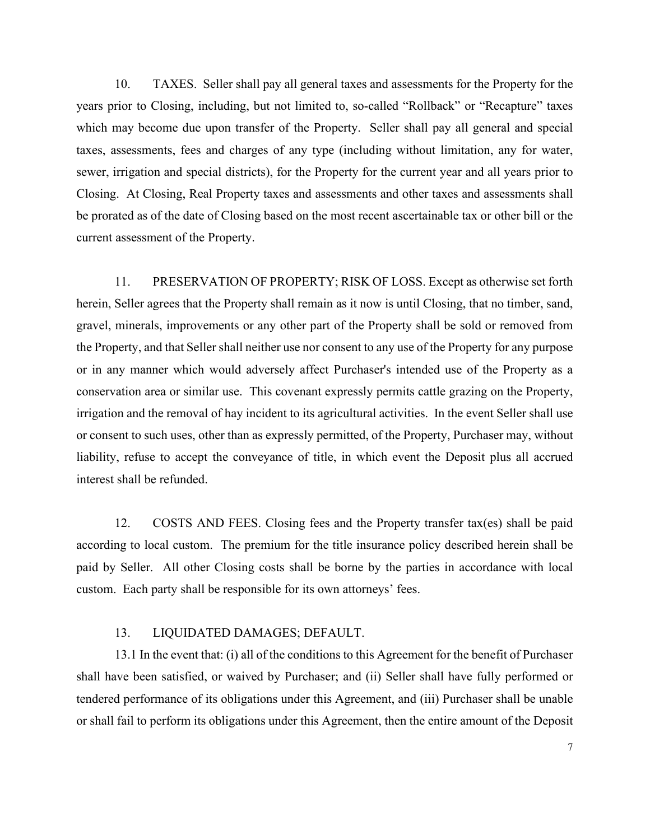10. TAXES. Seller shall pay all general taxes and assessments for the Property for the years prior to Closing, including, but not limited to, so-called "Rollback" or "Recapture" taxes which may become due upon transfer of the Property. Seller shall pay all general and special taxes, assessments, fees and charges of any type (including without limitation, any for water, sewer, irrigation and special districts), for the Property for the current year and all years prior to Closing. At Closing, Real Property taxes and assessments and other taxes and assessments shall be prorated as of the date of Closing based on the most recent ascertainable tax or other bill or the current assessment of the Property.

11. PRESERVATION OF PROPERTY; RISK OF LOSS. Except as otherwise set forth herein, Seller agrees that the Property shall remain as it now is until Closing, that no timber, sand, gravel, minerals, improvements or any other part of the Property shall be sold or removed from the Property, and that Seller shall neither use nor consent to any use of the Property for any purpose or in any manner which would adversely affect Purchaser's intended use of the Property as a conservation area or similar use. This covenant expressly permits cattle grazing on the Property, irrigation and the removal of hay incident to its agricultural activities. In the event Seller shall use or consent to such uses, other than as expressly permitted, of the Property, Purchaser may, without liability, refuse to accept the conveyance of title, in which event the Deposit plus all accrued interest shall be refunded.

12. COSTS AND FEES. Closing fees and the Property transfer tax(es) shall be paid according to local custom. The premium for the title insurance policy described herein shall be paid by Seller. All other Closing costs shall be borne by the parties in accordance with local custom. Each party shall be responsible for its own attorneys' fees.

### 13. LIQUIDATED DAMAGES; DEFAULT.

13.1 In the event that: (i) all of the conditions to this Agreement for the benefit of Purchaser shall have been satisfied, or waived by Purchaser; and (ii) Seller shall have fully performed or tendered performance of its obligations under this Agreement, and (iii) Purchaser shall be unable or shall fail to perform its obligations under this Agreement, then the entire amount of the Deposit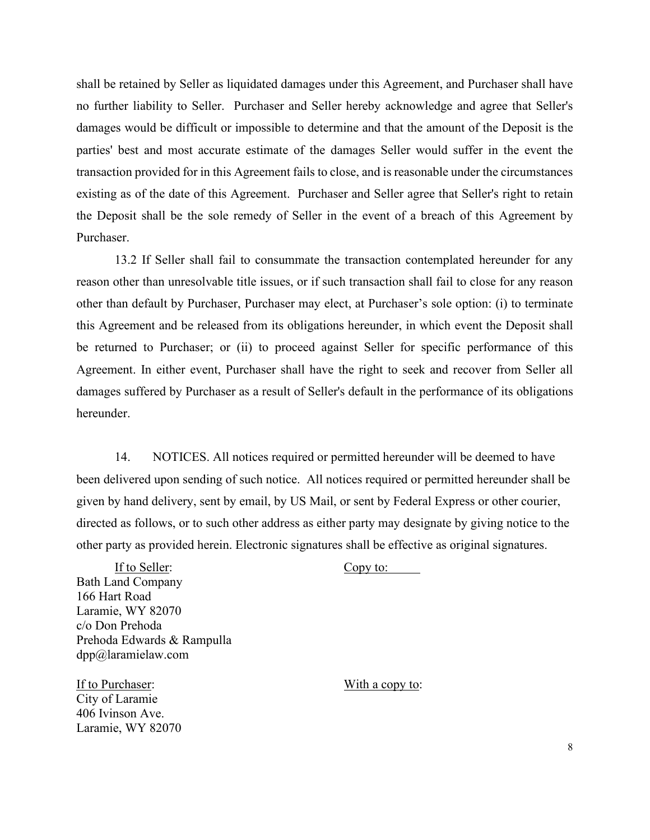shall be retained by Seller as liquidated damages under this Agreement, and Purchaser shall have no further liability to Seller. Purchaser and Seller hereby acknowledge and agree that Seller's damages would be difficult or impossible to determine and that the amount of the Deposit is the parties' best and most accurate estimate of the damages Seller would suffer in the event the transaction provided for in this Agreement fails to close, and is reasonable under the circumstances existing as of the date of this Agreement. Purchaser and Seller agree that Seller's right to retain the Deposit shall be the sole remedy of Seller in the event of a breach of this Agreement by Purchaser.

13.2 If Seller shall fail to consummate the transaction contemplated hereunder for any reason other than unresolvable title issues, or if such transaction shall fail to close for any reason other than default by Purchaser, Purchaser may elect, at Purchaser's sole option: (i) to terminate this Agreement and be released from its obligations hereunder, in which event the Deposit shall be returned to Purchaser; or (ii) to proceed against Seller for specific performance of this Agreement. In either event, Purchaser shall have the right to seek and recover from Seller all damages suffered by Purchaser as a result of Seller's default in the performance of its obligations hereunder.

14. NOTICES. All notices required or permitted hereunder will be deemed to have been delivered upon sending of such notice. All notices required or permitted hereunder shall be given by hand delivery, sent by email, by US Mail, or sent by Federal Express or other courier, directed as follows, or to such other address as either party may designate by giving notice to the other party as provided herein. Electronic signatures shall be effective as original signatures.

If to Seller: Copy to: Bath Land Company 166 Hart Road Laramie, WY 82070 c/o Don Prehoda Prehoda Edwards & Rampulla dpp@laramielaw.com

If to Purchaser: With a copy to: City of Laramie 406 Ivinson Ave. Laramie, WY 82070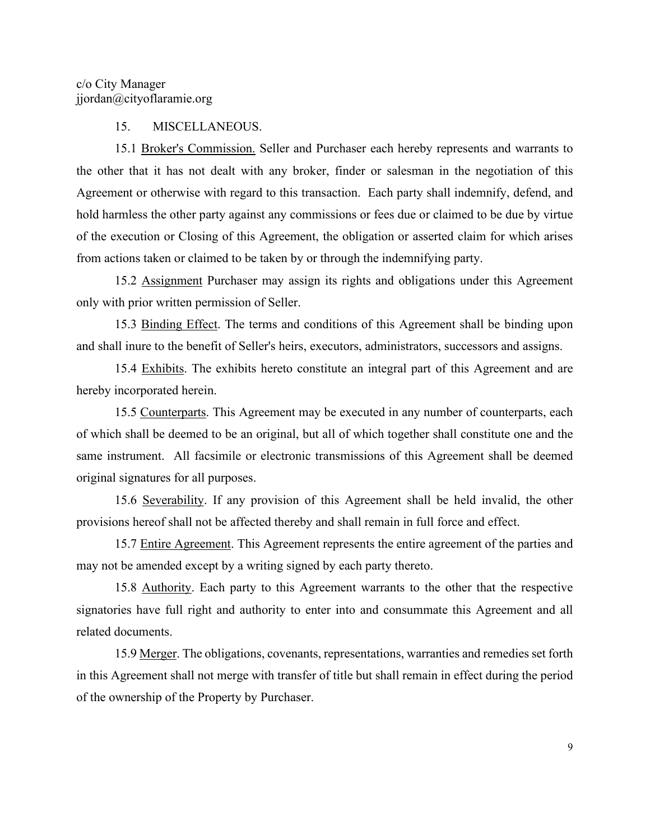#### 15. MISCELLANEOUS.

15.1 Broker's Commission. Seller and Purchaser each hereby represents and warrants to the other that it has not dealt with any broker, finder or salesman in the negotiation of this Agreement or otherwise with regard to this transaction. Each party shall indemnify, defend, and hold harmless the other party against any commissions or fees due or claimed to be due by virtue of the execution or Closing of this Agreement, the obligation or asserted claim for which arises from actions taken or claimed to be taken by or through the indemnifying party.

15.2 Assignment Purchaser may assign its rights and obligations under this Agreement only with prior written permission of Seller.

15.3 Binding Effect. The terms and conditions of this Agreement shall be binding upon and shall inure to the benefit of Seller's heirs, executors, administrators, successors and assigns.

15.4 Exhibits. The exhibits hereto constitute an integral part of this Agreement and are hereby incorporated herein.

15.5 Counterparts. This Agreement may be executed in any number of counterparts, each of which shall be deemed to be an original, but all of which together shall constitute one and the same instrument. All facsimile or electronic transmissions of this Agreement shall be deemed original signatures for all purposes.

15.6 Severability. If any provision of this Agreement shall be held invalid, the other provisions hereof shall not be affected thereby and shall remain in full force and effect.

15.7 Entire Agreement. This Agreement represents the entire agreement of the parties and may not be amended except by a writing signed by each party thereto.

15.8 Authority. Each party to this Agreement warrants to the other that the respective signatories have full right and authority to enter into and consummate this Agreement and all related documents.

15.9 Merger. The obligations, covenants, representations, warranties and remedies set forth in this Agreement shall not merge with transfer of title but shall remain in effect during the period of the ownership of the Property by Purchaser.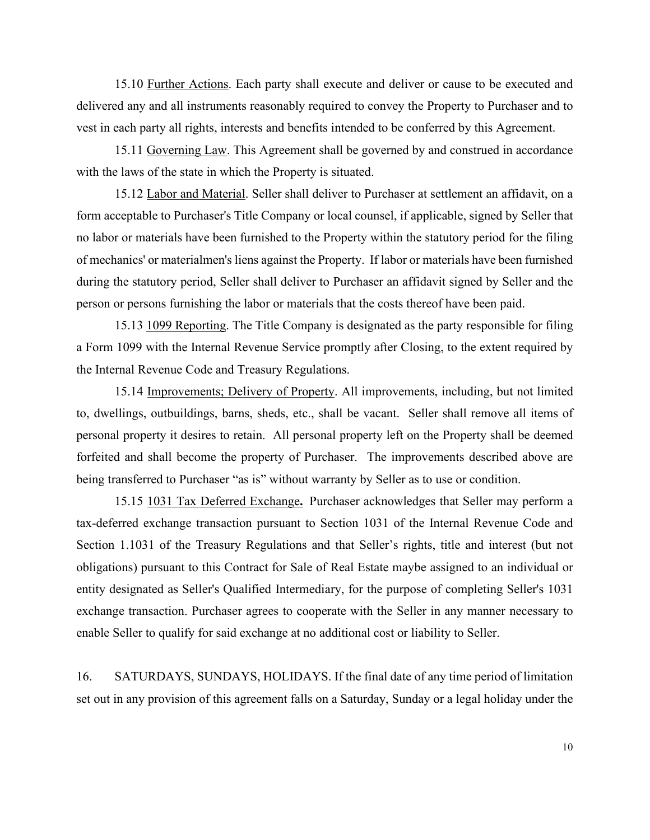15.10 Further Actions. Each party shall execute and deliver or cause to be executed and delivered any and all instruments reasonably required to convey the Property to Purchaser and to vest in each party all rights, interests and benefits intended to be conferred by this Agreement.

15.11 Governing Law. This Agreement shall be governed by and construed in accordance with the laws of the state in which the Property is situated.

15.12 Labor and Material. Seller shall deliver to Purchaser at settlement an affidavit, on a form acceptable to Purchaser's Title Company or local counsel, if applicable, signed by Seller that no labor or materials have been furnished to the Property within the statutory period for the filing of mechanics' or materialmen's liens against the Property. If labor or materials have been furnished during the statutory period, Seller shall deliver to Purchaser an affidavit signed by Seller and the person or persons furnishing the labor or materials that the costs thereof have been paid.

15.13 1099 Reporting. The Title Company is designated as the party responsible for filing a Form 1099 with the Internal Revenue Service promptly after Closing, to the extent required by the Internal Revenue Code and Treasury Regulations.

15.14 Improvements; Delivery of Property. All improvements, including, but not limited to, dwellings, outbuildings, barns, sheds, etc., shall be vacant. Seller shall remove all items of personal property it desires to retain. All personal property left on the Property shall be deemed forfeited and shall become the property of Purchaser. The improvements described above are being transferred to Purchaser "as is" without warranty by Seller as to use or condition.

15.15 1031 Tax Deferred Exchange**.** Purchaser acknowledges that Seller may perform a tax-deferred exchange transaction pursuant to Section 1031 of the Internal Revenue Code and Section 1.1031 of the Treasury Regulations and that Seller's rights, title and interest (but not obligations) pursuant to this Contract for Sale of Real Estate maybe assigned to an individual or entity designated as Seller's Qualified Intermediary, for the purpose of completing Seller's 1031 exchange transaction. Purchaser agrees to cooperate with the Seller in any manner necessary to enable Seller to qualify for said exchange at no additional cost or liability to Seller.

16. SATURDAYS, SUNDAYS, HOLIDAYS. If the final date of any time period of limitation set out in any provision of this agreement falls on a Saturday, Sunday or a legal holiday under the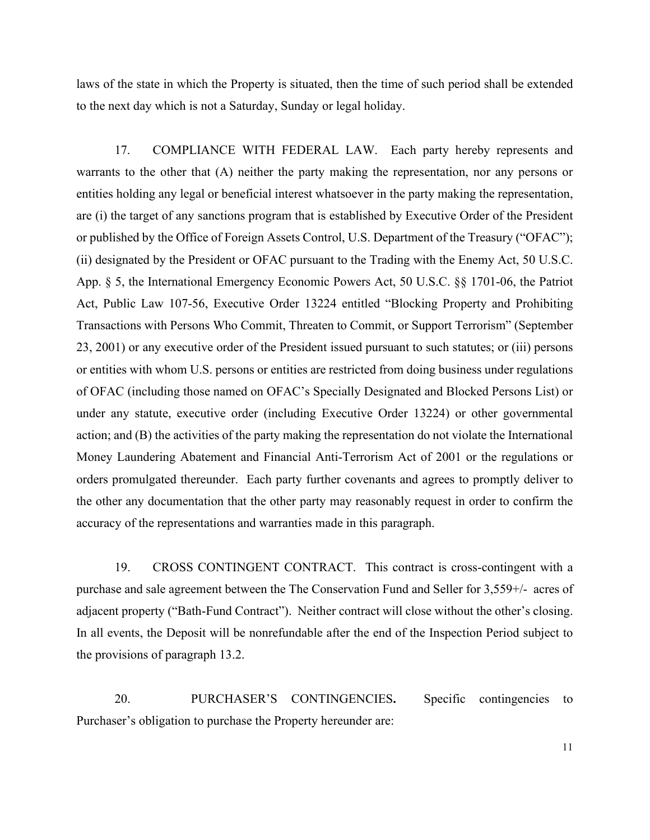laws of the state in which the Property is situated, then the time of such period shall be extended to the next day which is not a Saturday, Sunday or legal holiday.

17. COMPLIANCE WITH FEDERAL LAW. Each party hereby represents and warrants to the other that (A) neither the party making the representation, nor any persons or entities holding any legal or beneficial interest whatsoever in the party making the representation, are (i) the target of any sanctions program that is established by Executive Order of the President or published by the Office of Foreign Assets Control, U.S. Department of the Treasury ("OFAC"); (ii) designated by the President or OFAC pursuant to the Trading with the Enemy Act, 50 U.S.C. App. § 5, the International Emergency Economic Powers Act, 50 U.S.C. §§ 1701-06, the Patriot Act, Public Law 107-56, Executive Order 13224 entitled "Blocking Property and Prohibiting Transactions with Persons Who Commit, Threaten to Commit, or Support Terrorism" (September 23, 2001) or any executive order of the President issued pursuant to such statutes; or (iii) persons or entities with whom U.S. persons or entities are restricted from doing business under regulations of OFAC (including those named on OFAC's Specially Designated and Blocked Persons List) or under any statute, executive order (including Executive Order 13224) or other governmental action; and (B) the activities of the party making the representation do not violate the International Money Laundering Abatement and Financial Anti-Terrorism Act of 2001 or the regulations or orders promulgated thereunder. Each party further covenants and agrees to promptly deliver to the other any documentation that the other party may reasonably request in order to confirm the accuracy of the representations and warranties made in this paragraph.

19. CROSS CONTINGENT CONTRACT. This contract is cross-contingent with a purchase and sale agreement between the The Conservation Fund and Seller for 3,559+/- acres of adjacent property ("Bath-Fund Contract"). Neither contract will close without the other's closing. In all events, the Deposit will be nonrefundable after the end of the Inspection Period subject to the provisions of paragraph 13.2.

20. PURCHASER'S CONTINGENCIES**.** Specific contingencies to Purchaser's obligation to purchase the Property hereunder are: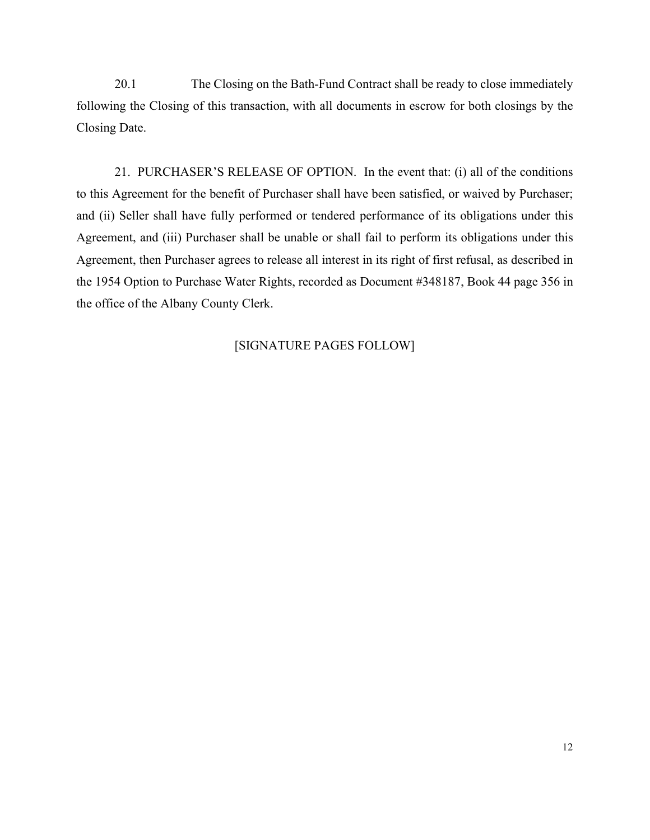20.1 The Closing on the Bath-Fund Contract shall be ready to close immediately following the Closing of this transaction, with all documents in escrow for both closings by the Closing Date.

21. PURCHASER'S RELEASE OF OPTION. In the event that: (i) all of the conditions to this Agreement for the benefit of Purchaser shall have been satisfied, or waived by Purchaser; and (ii) Seller shall have fully performed or tendered performance of its obligations under this Agreement, and (iii) Purchaser shall be unable or shall fail to perform its obligations under this Agreement, then Purchaser agrees to release all interest in its right of first refusal, as described in the 1954 Option to Purchase Water Rights, recorded as Document #348187, Book 44 page 356 in the office of the Albany County Clerk.

## [SIGNATURE PAGES FOLLOW]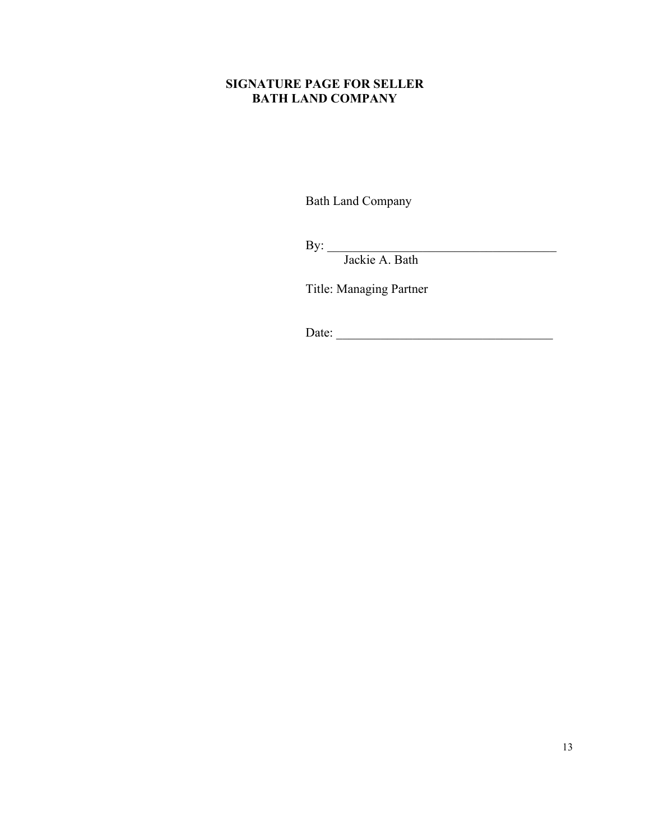## **SIGNATURE PAGE FOR SELLER BATH LAND COMPANY**

Bath Land Company

 $\mathbf{By:}$ 

Jackie A. Bath

Title: Managing Partner

Date: